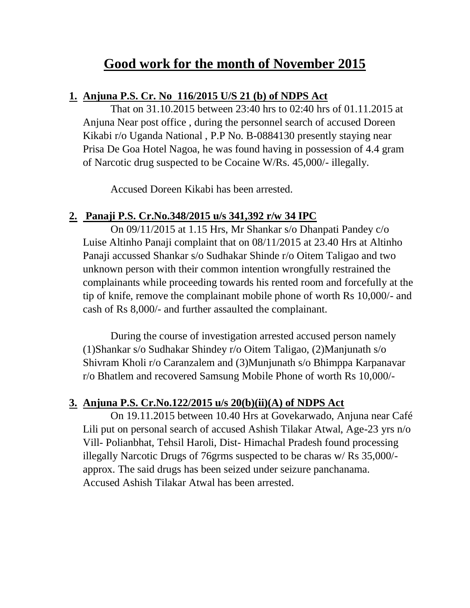# **Good work for the month of November 2015**

### **1. Anjuna P.S. Cr. No 116/2015 U/S 21 (b) of NDPS Act**

That on 31.10.2015 between 23:40 hrs to 02:40 hrs of 01.11.2015 at Anjuna Near post office , during the personnel search of accused Doreen Kikabi r/o Uganda National , P.P No. B-0884130 presently staying near Prisa De Goa Hotel Nagoa, he was found having in possession of 4.4 gram of Narcotic drug suspected to be Cocaine W/Rs. 45,000/- illegally.

Accused Doreen Kikabi has been arrested.

## **2. Panaji P.S. Cr.No.348/2015 u/s 341,392 r/w 34 IPC**

On 09/11/2015 at 1.15 Hrs, Mr Shankar s/o Dhanpati Pandey c/o Luise Altinho Panaji complaint that on 08/11/2015 at 23.40 Hrs at Altinho Panaji accussed Shankar s/o Sudhakar Shinde r/o Oitem Taligao and two unknown person with their common intention wrongfully restrained the complainants while proceeding towards his rented room and forcefully at the tip of knife, remove the complainant mobile phone of worth Rs 10,000/- and cash of Rs 8,000/- and further assaulted the complainant.

During the course of investigation arrested accused person namely (1)Shankar s/o Sudhakar Shindey r/o Oitem Taligao, (2)Manjunath s/o Shivram Kholi r/o Caranzalem and (3)Munjunath s/o Bhimppa Karpanavar r/o Bhatlem and recovered Samsung Mobile Phone of worth Rs 10,000/-

## **3. Anjuna P.S. Cr.No.122/2015 u/s 20(b)(ii)(A) of NDPS Act**

On 19.11.2015 between 10.40 Hrs at Govekarwado, Anjuna near Café Lili put on personal search of accused Ashish Tilakar Atwal, Age-23 yrs n/o Vill- Polianbhat, Tehsil Haroli, Dist- Himachal Pradesh found processing illegally Narcotic Drugs of 76grms suspected to be charas w/ Rs 35,000/ approx. The said drugs has been seized under seizure panchanama. Accused Ashish Tilakar Atwal has been arrested.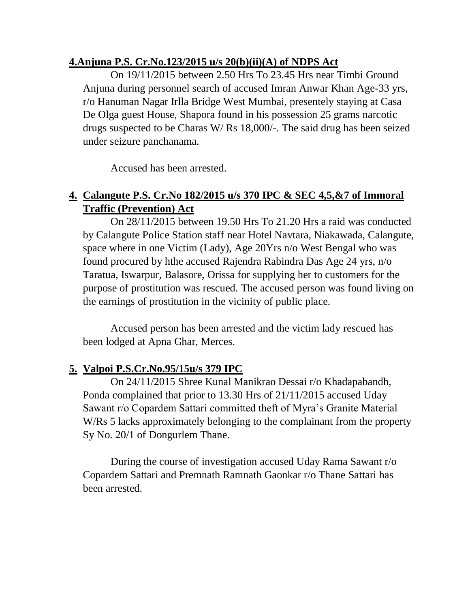#### **4.Anjuna P.S. Cr.No.123/2015 u/s 20(b)(ii)(A) of NDPS Act**

On 19/11/2015 between 2.50 Hrs To 23.45 Hrs near Timbi Ground Anjuna during personnel search of accused Imran Anwar Khan Age-33 yrs, r/o Hanuman Nagar Irlla Bridge West Mumbai, presentely staying at Casa De Olga guest House, Shapora found in his possession 25 grams narcotic drugs suspected to be Charas W/ Rs 18,000/-. The said drug has been seized under seizure panchanama.

Accused has been arrested.

## **4. Calangute P.S. Cr.No 182/2015 u/s 370 IPC & SEC 4,5,&7 of Immoral Traffic (Prevention) Act**

On 28/11/2015 between 19.50 Hrs To 21.20 Hrs a raid was conducted by Calangute Police Station staff near Hotel Navtara, Niakawada, Calangute, space where in one Victim (Lady), Age 20Yrs n/o West Bengal who was found procured by hthe accused Rajendra Rabindra Das Age 24 yrs, n/o Taratua, Iswarpur, Balasore, Orissa for supplying her to customers for the purpose of prostitution was rescued. The accused person was found living on the earnings of prostitution in the vicinity of public place.

Accused person has been arrested and the victim lady rescued has been lodged at Apna Ghar, Merces.

## **5. Valpoi P.S.Cr.No.95/15u/s 379 IPC**

On 24/11/2015 Shree Kunal Manikrao Dessai r/o Khadapabandh, Ponda complained that prior to 13.30 Hrs of 21/11/2015 accused Uday Sawant r/o Copardem Sattari committed theft of Myra's Granite Material W/Rs 5 lacks approximately belonging to the complainant from the property Sy No. 20/1 of Dongurlem Thane.

During the course of investigation accused Uday Rama Sawant r/o Copardem Sattari and Premnath Ramnath Gaonkar r/o Thane Sattari has been arrested.